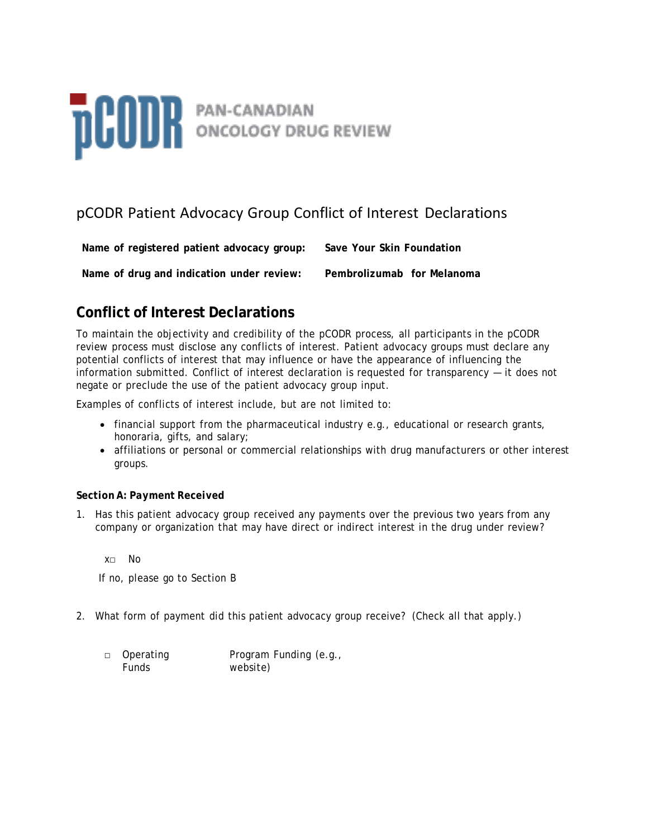# **DCODR** PAN-CANADIAN

# pCODR Patient Advocacy Group Conflict of Interest Declarations

**Name of registered patient advocacy group: Save Your Skin Foundation**

**Name of drug and indication under review: Pembrolizumab for Melanoma**

## **Conflict of Interest Declarations**

To maintain the objectivity and credibility of the pCODR process, all participants in the pCODR review process must disclose any conflicts of interest. Patient advocacy groups must declare any potential conflicts of interest that may influence or have the appearance of influencing the information submitted. Conflict of interest declaration is requested for transparency — it does not negate or preclude the use of the patient advocacy group input.

Examples of conflicts of interest include, but are not limited to:

- financial support from the pharmaceutical industry e.g., educational or research grants, honoraria, gifts, and salary;
- affiliations or personal or commercial relationships with drug manufacturers or other interest groups.

## *Section A: Payment Received*

1. Has this patient advocacy group received any payments over the previous two years from any company or organization that may have direct or indirect interest in the drug under review?

x□ No

If no, please go to Section B

- 2. What form of payment did this patient advocacy group receive? (Check all that apply.)
	- □ Operating Funds Program Funding (e.g., website)